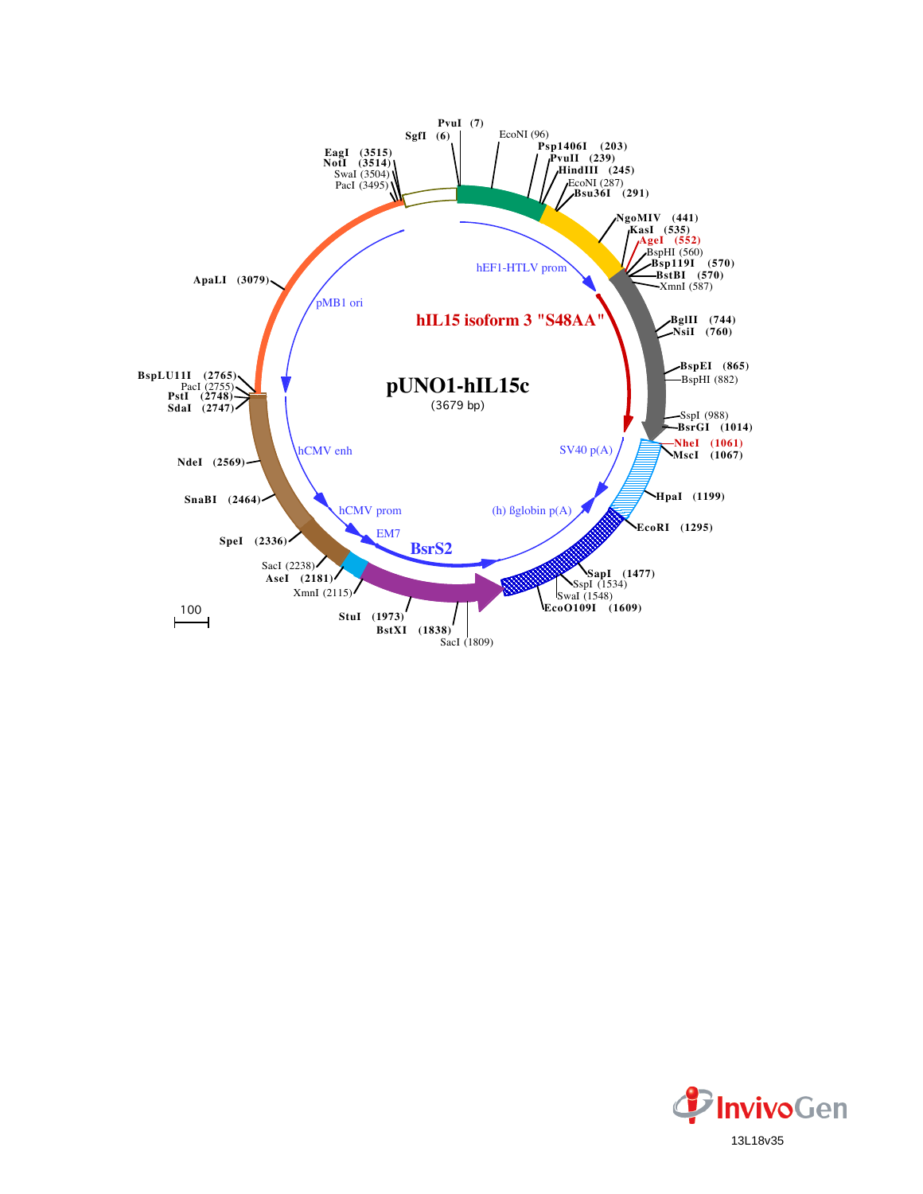

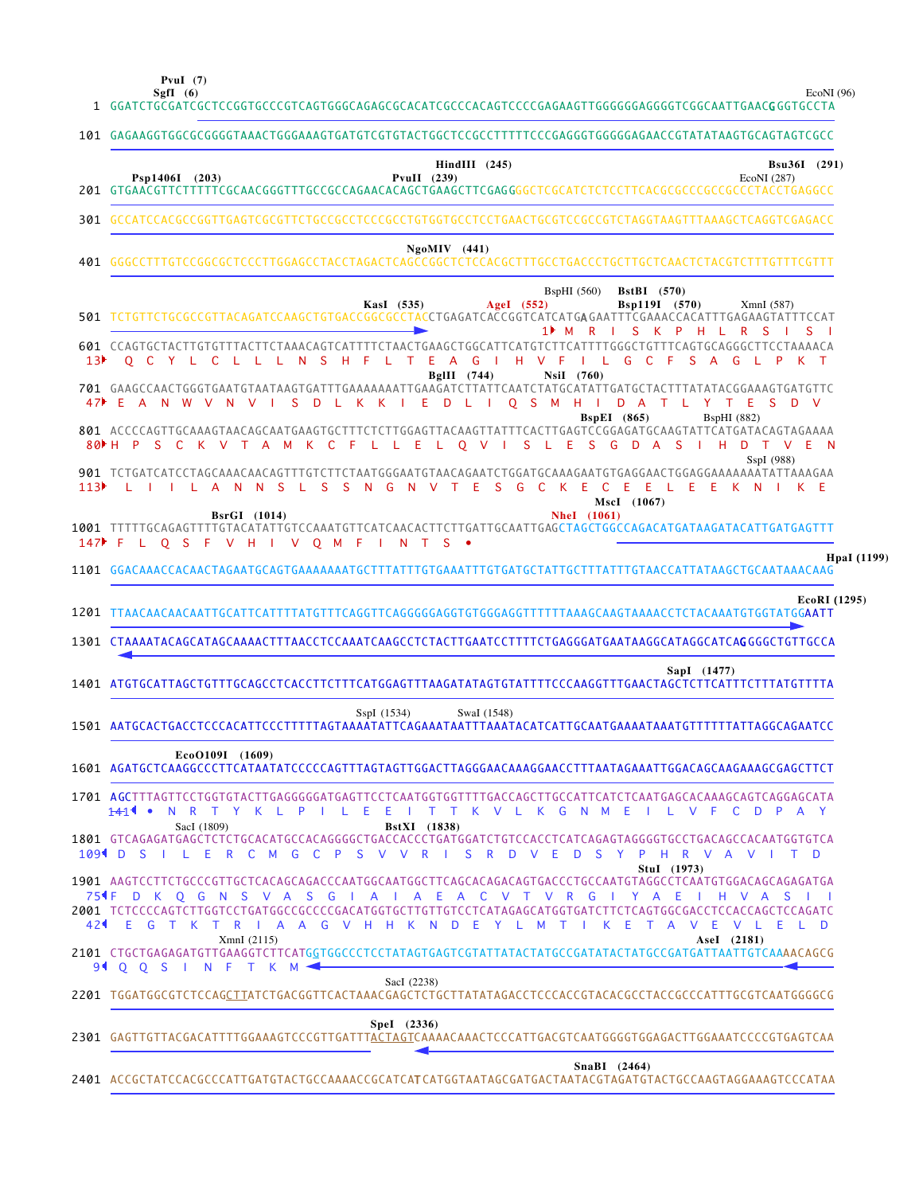**PvuI (7)**

EcoNI (96)

**HpaI (1199)**

|                 | 101 GAGAAGGTGGCGCGGGGTAAACTGGGAAAGTGATGTCGTGTACTGGCTCCGCCTTTTTCCCGAGGGTGGGGGAACCGTATATAAGTGCAGTAGTCGCC                                                                                                                                                                                                                                                                                              |
|-----------------|-----------------------------------------------------------------------------------------------------------------------------------------------------------------------------------------------------------------------------------------------------------------------------------------------------------------------------------------------------------------------------------------------------|
|                 | $HindIII$ (245)<br>Bsu36I (291)<br>Psp1406I (203)<br><b>PvuII</b> (239)<br>EcoNI (287)                                                                                                                                                                                                                                                                                                              |
|                 | 301 GCCATCCACGCCGGTTGAGTCGCGTTCTGCCGCCTCCCGCCTGTGGTGCCTCCTGAACTGCGTCCGCCGTCTAGGTAAGTTTAAAGCTCAGGTCGAGACC                                                                                                                                                                                                                                                                                            |
|                 | $NgoMIV$ (441)                                                                                                                                                                                                                                                                                                                                                                                      |
|                 | <b>BspHI</b> (560)<br><b>BstBI</b> (570)<br>Bsp119I (570)<br>KasI (535)<br>AgeI $(552)$<br>XmnI (587)<br>501 TCTGTTCTGCGCCGTTACAGATCCAAGCTGTGACCGGCGCCTACCTGAGATCACCGGTCATCATGAGAATTTCGAAACCACATTTGAGAAGTATTTCCAT<br>S<br>K<br>$\mathsf{P}$<br>R<br>1▶ M<br>R<br>-H<br>S.<br>S                                                                                                                      |
| 13 <sup>b</sup> | 601 CCAGTGCTACTTGTGTTTACTTCTAAACAGTCATTTTCTAACTGAAGCTGGCATTCATGTCTTCATTTTGGGCTGTTTCAGTGCAGGGCTTCCTAAAACA<br>O C Y L C<br><sub>S</sub><br>Н.<br>E<br>G<br>-H<br>- L<br>G<br><sub>S</sub><br>- L - L<br>L.<br>N.<br>-F<br>L.<br>T.<br>A<br>$\blacksquare$<br>v<br>- F<br>-C<br>- F<br>A<br>G<br>BglII (744)<br>NsiI (760)                                                                             |
| 47              | 701 GAAGCCAACTGGGTGAATGTAATAAGTGATTTGAAAAAATTGAAGATCTTATTCAATCTATTGATGTATTGATGCTACTTTATATACGGAAAGTGATGTTC<br>-E<br>O S M H I<br>$\mathsf{A}$<br><b>N</b><br>W<br>$\mathsf{V}$<br><b>N</b><br>S<br>D<br>К<br>- K<br>Æ<br>D<br>- L<br>D A<br>Y<br>T.<br>E.<br>S.<br>D V<br>V<br>-L.<br>$\blacksquare$<br>T.<br>- 11<br><b>BspEI</b> (865)<br><b>BspHI</b> (882)                                       |
| 80 H            | 801 ACCCCAGTTGCAAAGTAACAGCAATGAAGTGCTTTCTCTTGGAGTTACAAGTTATTTCACTTGAGTCCGGAGATGCAAGTATTCATGATACAGTAGAAAA<br>S L E<br>S.<br>G<br><b>D</b><br>$\mathsf{P}$<br><sub>S</sub><br>- C<br>K V<br>T A<br>- F<br>L L E L<br>$Q$ V<br>A<br>- S<br>н<br>D<br>V E N<br>M K C<br>$\top$<br>SspI (988)<br>901 TCTGATCATCCTAGCAAACAACAGTTTGTCTTCTAATGGGAATGTAACAGAATCTGGATGCAAAGAATGTGAGGAACTGGAGGAAAAAATATTAAAGAA |
| 113▶            | S<br><sup>S</sup><br>S.<br>-S<br>G<br>$T$ F<br>G<br>$\mathbf{C}$<br>$\mathsf{K}$<br>ILAN<br>N.<br>$\mathbf{L}$<br>N.<br>N<br>$\vee$<br>- E<br>- C<br>- E<br>- L E<br>- E<br>-E<br>K.<br>MscI (1067)                                                                                                                                                                                                 |
|                 | <b>NheI</b> (1061)<br><b>BsrGI</b> (1014)<br>147 FLOSFVHI<br>V Q M F<br>N.<br>$\top$<br>S.                                                                                                                                                                                                                                                                                                          |
|                 | HpaI $(1)$<br>1101 GGACAAACCACAACTAGAATGCAGTGAAAAAAATGCTTTATTTGTGAAATTTGTGATGCTATTGCTTTATTTGTAACCATTATAAGCTGCAATAAACAAG                                                                                                                                                                                                                                                                             |
|                 |                                                                                                                                                                                                                                                                                                                                                                                                     |
|                 | 1201 TTAACAACAACAATTGCATTCATTTTATGTTTCAGGTTCAGGGGGAGGTGTGGGAGGTTTTTTAAAGCAAGTAAAACCTCTACAAATGTGGTATGGAATT                                                                                                                                                                                                                                                                                           |
|                 | 1301 CTAAAATACAGCATAGCAAAACTTTAACCTCCAAATCAAGCCTCTACTTGAATCCTTTTCTGAGGGATGAATAAGGCATAGGCATCAGGGGCTGTTGCCA<br>SapI (1477)<br>ATGTGCATTAGCTGTTTGCAGCCTCACCTTCTTTCATGGAGTTTAAGATATAGTGTATTTTCCCAAGGTTTGAACTAGCTCTTCATTTCTTTATGTTTTA                                                                                                                                                                    |
|                 | SwaI (1548)<br>SspI (1534)                                                                                                                                                                                                                                                                                                                                                                          |
|                 | EcoO109I (1609)<br>1601 AGATGCTCAAGGCCCTTCATAATATCCCCCAGTTTAGTAGTTGGACTTAGGGAACAAAGGAACCTTTAATAGAAATTGGACAGCAAGAAAGCGAGCTTCT                                                                                                                                                                                                                                                                        |
|                 | 1701 AGCTTTAGTTCCTGGTGTACTTGAGGGGGATGAGTTCCTCAATGGTGGTTTTGACCAGCTTGCCATTCATCTCAATGAGCACAAAGCAGTCAGGAGCATA<br><del>14</del> 14 • NRTYKLPILEEITTKVLKGNMEILVFCDPAY                                                                                                                                                                                                                                     |
|                 | SacI (1809)<br><b>BstXI</b> (1838)<br>1801 GTCAGAGATGAGCTCTCTGCACATGCCACAGGGGCTGACCACCCTGATGGATCTGTCCACCTCATCAGAGTAGGGGTGCCTGACAGCCACAATGGTGTCA<br>109 ID SILERCM GCP SV V RISRD V ED SYPHRVAVITD                                                                                                                                                                                                   |
|                 | Stul (1973)<br>754 F D K Q G N S V A S G I A I A E A C V T V R G I Y A E I H V A S I I<br>2001 TCTCCCCAGTCTTGGTCCTGATGGCCGCCCGACATGGTGCTTGTTGTCCTCATAGAGCATGGTGATCTTCTCAGTGGCGACCTCCACCAGCTCCAGATC<br>E G T K T R I A A G V H H K N D E Y L M<br>$\top$<br>K F<br>T A V F<br>VLELD                                                                                                                  |
|                 | XmnI (2115)<br>AseI (2181)<br>$M \blacktriangleleft$                                                                                                                                                                                                                                                                                                                                                |
|                 | EcoRI (1295)<br>94 0 0 S I N F T K<br>SacI (2238)<br>2201 TGGATGGCGTCTCCAGCTTATCTGACGGTTCACTAAACGAGCTCTGCTTATATAGACCTCCCACCGTACACGCCTACCGCCCATTTGCGTCAATGGGGCG                                                                                                                                                                                                                                      |
| 1401<br>424     | Spel (2336)                                                                                                                                                                                                                                                                                                                                                                                         |